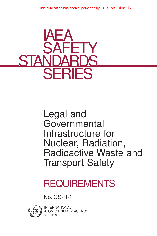This publication has been superseded by GSR Part 1 (Rev. 1).



Legal and **Governmental** Infrastructure for Nuclear, Radiation, Radioactive Waste and Transport Safety

# REQUIREMENTS

No. GS-R-1



TERNATIONAL **DMIC ENERGY AGENCY** VIENNA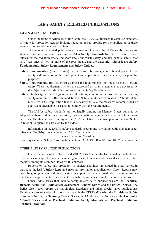## **IAEA SAFETY RELATED PUBLICATIONS**

#### IAEA SAFETY STANDARDS

Under the terms of Article III of its Statute, the IAEA is authorized to establish standards of safety for protection against ionizing radiation and to provide for the application of these standards to peaceful nuclear activities.

The regulatory related publications by means of which the IAEA establishes safety standards and measures are issued in the **IAEA Safety Standards Series**. This series covers nuclear safety, radiation safety, transport safety and waste safety, and also general safety (that is, of relevance in two or more of the four areas), and the categories within it are **Safety Fundamentals**, **Safety Requirements** and **Safety Guides.**

- **Safety Fundamentals** (blue lettering) present basic objectives, concepts and principles of safety and protection in the development and application of nuclear energy for peaceful purposes.
- **Safety Requirements** (red lettering) establish the requirements that must be met to ensure safety. These requirements, which are expressed as 'shall' statements, are governed by the objectives and principles presented in the Safety Fundamentals.
- **Safety Guides** (green lettering) recommend actions, conditions or procedures for meeting safety requirements. Recommendations in Safety Guides are expressed as 'should' statements, with the implication that it is necessary to take the measures recommended or equivalent alternative measures to comply with the requirements.

The IAEA's safety standards are not legally binding on Member States but may be adopted by them, at their own discretion, for use in national regulations in respect of their own activities. The standards are binding on the IAEA in relation to its own operations and on States in relation to operations assisted by the IAEA.

Information on the IAEA's safety standards programme (including editions in languages other than English) is available at the IAEA Internet site

#### www.iaea.org/ns/coordinet

or on request to the Safety Co-ordination Section, IAEA, P.O. Box 100, A-1400 Vienna, Austria.

#### OTHER SAFETY RELATED PUBLICATIONS

Under the terms of Articles III and VIII.C of its Statute, the IAEA makes available and fosters the exchange of information relating to peaceful nuclear activities and serves as an intermediary among its Member States for this purpose.

Reports on safety and protection in nuclear activities are issued in other series, in particular the **IAEA Safety Reports Series**, as informational publications. Safety Reports may describe good practices and give practical examples and detailed methods that can be used to meet safety requirements. They do not establish requirements or make recommendations.

Other IAEA series that include safety related sales publications are the **Technical Reports Series,** the **Radiological Assessment Reports Series** and the **INSAG Series**. The IAEA also issues reports on radiological accidents and other special sales publications. Unpriced safety related publications are issued in the **TECDOC Series**, the **Provisional Safety Standards Series**, the **Training Course Series,** the **IAEA Services Series** and the **Computer Manual Series**, and as **Practical Radiation Safety Manuals** and **Practical Radiation Technical Manuals**.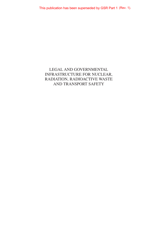This publication has been superseded by GSR Part 1 (Rev. 1).

## LEGAL AND GOVERNMENTAL INFRASTRUCTURE FOR NUCLEAR, RADIATION, RADIOACTIVE WASTE AND TRANSPORT SAFETY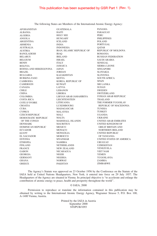| AFGHANISTAN                   | <b>GUATEMALA</b>                                            | PANAMA                      |
|-------------------------------|-------------------------------------------------------------|-----------------------------|
| <b>ALBANIA</b>                | <b>HAITI</b>                                                | PARAGUAY                    |
| ALGERIA                       | <b>HOLY SEE</b>                                             | PERU                        |
| <b>ANGOLA</b>                 | <b>HUNGARY</b>                                              | <b>PHILIPPINES</b>          |
| ARGENTINA                     | <b>ICELAND</b>                                              | <b>POLAND</b>               |
| <b>ARMENIA</b>                | <b>INDIA</b>                                                | <b>PORTUGAL</b>             |
| AUSTRALIA                     | <b>INDONESIA</b>                                            | <b>OATAR</b>                |
| <b>AUSTRIA</b>                | IRAN, ISLAMIC REPUBLIC OF                                   | REPUBLIC OF MOLDOVA         |
| <b>BANGLADESH</b>             | <b>IRAO</b>                                                 | ROMANIA                     |
| <b>BELARUS</b>                | <b>IRELAND</b>                                              | <b>RUSSIAN FEDERATION</b>   |
| BELGIUM                       | ISRAEL<br>ITALY<br>JAMAICA<br>JAPAN<br>JORDAN<br>KAZAKHSTAN | <b>SAUDI ARABIA</b>         |
| <b>BENIN</b>                  |                                                             | SENEGAL.                    |
| <b>BOLIVIA</b>                |                                                             | <b>SIERRA LEONE</b>         |
| <b>BOSNIA AND HERZEGOVINA</b> |                                                             | <b>SINGAPORE</b>            |
| BRAZIL                        |                                                             | <b>SLOVAKIA</b>             |
| BULGARIA                      |                                                             | <b>SLOVENIA</b>             |
| <b>BURKINA FASO</b>           | <b>KENYA</b>                                                | <b>SOUTH AFRICA</b>         |
| CAMBODIA                      | KOREA, REPUBLIC OF                                          | <b>SPAIN</b>                |
| CAMEROON                      | <b>KUWAIT</b>                                               | <b>SRI LANKA</b>            |
| CANADA                        | <b>LATVIA</b>                                               | <b>SUDAN</b>                |
| <b>CHILE</b>                  | <b>LEBANON</b>                                              | <b>SWEDEN</b>               |
| <b>CHINA</b>                  | LIBERIA                                                     | <b>SWITZERLAND</b>          |
| COLOMBIA                      | LIBYAN ARAB JAMAHIRIYA                                      | <b>SYRIAN ARAB REPUBLIC</b> |
| COSTA RICA                    | <b>LIECHTENSTEIN</b>                                        | THAILAND                    |
| COTE D'IVOIRE                 | <b>LITHUANIA</b>                                            | THE FORMER YUGOSLAV         |
| CROATIA                       | LUXEMBOURG                                                  | REPUBLIC OF MACEDONIA       |
| <b>CUBA</b>                   | MADAGASCAR                                                  | TUNISIA                     |
| <b>CYPRUS</b>                 | <b>MALAYSIA</b>                                             | <b>TURKEY</b>               |
| CZECH REPUBLIC                | <b>MALI</b>                                                 | <b>UGANDA</b>               |
| <b>DEMOCRATIC REPUBLIC</b>    | <b>MALTA</b>                                                | <b>UKRAINE</b>              |
| OF THE CONGO                  | <b>MARSHALL ISLANDS</b>                                     | <b>UNITED ARAB EMIRATES</b> |
| <b>DENMARK</b>                | <b>MAURITIUS</b>                                            | UNITED KINGDOM OF           |
| <b>DOMINICAN REPUBLIC</b>     | <b>MEXICO</b>                                               | <b>GREAT BRITAIN AND</b>    |
| <b>ECUADOR</b>                | <b>MONACO</b>                                               | <b>NORTHERN IRELAND</b>     |
| EGYPT                         | <b>MONGOLIA</b>                                             | UNITED REPUBLIC             |
| <b>EL SALVADOR</b>            | <b>MOROCCO</b>                                              | OF TANZANIA                 |
| <b>ESTONIA</b>                | <b>MYANMAR</b>                                              | UNITED STATES OF AMERICA    |
| <b>ETHIOPIA</b>               | NAMIBIA                                                     | <b>URUGUAY</b>              |
| <b>FINLAND</b>                | NETHERLANDS                                                 | <b>UZBEKISTAN</b>           |
| <b>FRANCE</b>                 | <b>NEW ZEALAND</b>                                          | <b>VENEZUELA</b>            |
| <b>GABON</b>                  | <b>NICARAGUA</b>                                            | <b>VIET NAM</b>             |
| GEORGIA                       | <b>NIGER</b>                                                | <b>YEMEN</b>                |
| GERMANY                       | <b>NIGERIA</b>                                              | <b>YUGOSLAVIA</b>           |
| <b>GHANA</b>                  | <b>NORWAY</b>                                               | ZAMBIA                      |
| <b>GREECE</b>                 | <b>PAKISTAN</b>                                             | <b>ZIMBABWE</b>             |
|                               |                                                             |                             |

The following States are Members of the International Atomic Energy Agency:

The Agency's Statute was approved on 23 October 1956 by the Conference on the Statute of the IAEA held at United Nations Headquarters, New York; it entered into force on 29 July 1957. The Headquarters of the Agency are situated in Vienna. Its principal objective is "to accelerate and enlarge the contribution of atomic energy to peace, health and prosperity throughout the world''.

#### © IAEA, 2000

Permission to reproduce or translate the information contained in this publication may be obtained by writing to the International Atomic Energy Agency, Wagramer Strasse 5, P.O. Box 100, A-1400 Vienna, Austria.

> Printed by the IAEA in Austria September 2000 STI/PUB/1093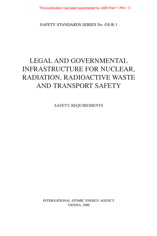SAFETY STANDARDS SERIES No. GS-R-1

## LEGAL AND GOVERNMENTAL INFRASTRUCTURE FOR NUCLEAR, RADIATION, RADIOACTIVE WASTE AND TRANSPORT SAFETY

SAFETY REQUIREMENTS

INTERNATIONAL ATOMIC ENERGY AGENCY VIENNA, 2000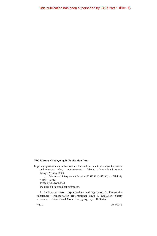#### **VIC Library Cataloguing in Publication Data**

Legal and governmental infrastructure for nuclear, radiation, radioactive waste and transport safety : requirements. — Vienna : International Atomic Energy Agency, 2000.

p. ; 24 cm. — (Safety standards series, ISSN 1020–525X ; no. GS-R-1) STI/PUB/1093

ISBN 92–0–100800–7

Includes bibliographical references.

1. Radioactive waste disposal—Law and legislation. 2. Radioactive substances—Transportation (International Law) 3. Radiation—Safety measures. I. International Atomic Energy Agency. II. Series.

VICL 00–00242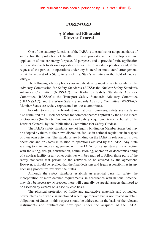## **FOREWORD**

## **by Mohamed ElBaradei Director General**

One of the statutory functions of the IAEA is to establish or adopt standards of safety for the protection of health, life and property in the development and application of nuclear energy for peaceful purposes, and to provide for the application of these standards to its own operations as well as to assisted operations and, at the request of the parties, to operations under any bilateral or multilateral arrangement, or, at the request of a State, to any of that State's activities in the field of nuclear energy.

The following advisory bodies oversee the development of safety standards: the Advisory Commission for Safety Standards (ACSS); the Nuclear Safety Standards Advisory Committee (NUSSAC); the Radiation Safety Standards Advisory Committee (RASSAC); the Transport Safety Standards Advisory Committee (TRANSSAC); and the Waste Safety Standards Advisory Committee (WASSAC). Member States are widely represented on these committees.

In order to ensure the broadest international consensus, safety standards are also submitted to all Member States for comment before approval by the IAEA Board of Governors (for Safety Fundamentals and Safety Requirements) or, on behalf of the Director General, by the Publications Committee (for Safety Guides).

The IAEA's safety standards are not legally binding on Member States but may be adopted by them, at their own discretion, for use in national regulations in respect of their own activities. The standards are binding on the IAEA in relation to its own operations and on States in relation to operations assisted by the IAEA. Any State wishing to enter into an agreement with the IAEA for its assistance in connection with the siting, design, construction, commissioning, operation or decommissioning of a nuclear facility or any other activities will be required to follow those parts of the safety standards that pertain to the activities to be covered by the agreement. However, it should be recalled that the final decisions and legal responsibilities in any licensing procedures rest with the States.

Although the safety standards establish an essential basis for safety, the incorporation of more detailed requirements, in accordance with national practice, may also be necessary. Moreover, there will generally be special aspects that need to be assessed by experts on a case by case basis.

The physical protection of fissile and radioactive materials and of nuclear power plants as a whole is mentioned where appropriate but is not treated in detail; obligations of States in this respect should be addressed on the basis of the relevant instruments and publications developed under the auspices of the IAEA.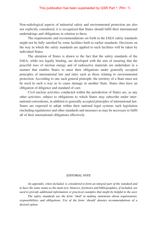Non-radiological aspects of industrial safety and environmental protection are also not explicitly considered; it is recognized that States should fulfil their international undertakings and obligations in relation to these.

The requirements and recommendations set forth in the IAEA safety standards might not be fully satisfied by some facilities built to earlier standards. Decisions on the way in which the safety standards are applied to such facilities will be taken by individual States.

The attention of States is drawn to the fact that the safety standards of the IAEA, while not legally binding, are developed with the aim of ensuring that the peaceful uses of nuclear energy and of radioactive materials are undertaken in a manner that enables States to meet their obligations under generally accepted principles of international law and rules such as those relating to environmental protection. According to one such general principle, the territory of a State must not be used in such a way as to cause damage in another State. States thus have an obligation of diligence and standard of care.

Civil nuclear activities conducted within the jurisdiction of States are, as any other activities, subject to obligations to which States may subscribe under international conventions, in addition to generally accepted principles of international law. States are expected to adopt within their national legal systems such legislation (including regulations) and other standards and measures as may be necessary to fulfil all of their international obligations effectively.

#### *EDITORIAL NOTE*

*An appendix, when included, is considered to form an integral part of the standard and to have the same status as the main text. Annexes, footnotes and bibliographies, if included, are used to provide additional information or practical examples that might be helpful to the user. The safety standards use the form 'shall' in making statements about requirements,*

*responsibilities and obligations. Use of the form 'should' denotes recommendations of a desired option.*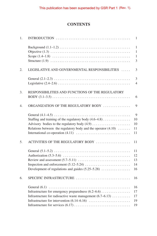## **CONTENTS**

| 1. |                                                                                                                           | 1                                                 |
|----|---------------------------------------------------------------------------------------------------------------------------|---------------------------------------------------|
|    |                                                                                                                           | $\mathbf{1}$<br>$\mathbf{1}$<br>$\mathbf{1}$<br>3 |
| 2. | LEGISLATIVE AND GOVERNMENTAL RESPONSIBILITIES                                                                             | 3                                                 |
|    |                                                                                                                           | 3<br>4                                            |
| 3. | RESPONSIBILITIES AND FUNCTIONS OF THE REGULATORY                                                                          | 6                                                 |
| 4. | ORGANIZATION OF THE REGULATORY BODY                                                                                       | 9                                                 |
|    | Staffing and training of the regulatory body (4.6–4.8)<br>Relations between the regulatory body and the operator $(4.10)$ | 9<br>10<br>10<br>11<br>11                         |
| 5. | ACTIVITIES OF THE REGULATORY BODY                                                                                         | 11                                                |
|    |                                                                                                                           | $11\,$<br>12<br>13<br>14<br>16                    |
| 6. | SPECIFIC INFRASTRUCTURE                                                                                                   | 16                                                |
|    | Infrastructure for emergency preparedness $(6.2-6.6)$<br>Infrastructure for radioactive waste management (6.7–6.13)       | 16<br>17<br>17<br>19                              |
|    |                                                                                                                           | 19                                                |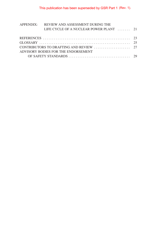| APPENDIX: REVIEW AND ASSESSMENT DURING THE |  |
|--------------------------------------------|--|
| LIFE CYCLE OF A NUCLEAR POWER PLANT  21    |  |
|                                            |  |
|                                            |  |
|                                            |  |
| ADVISORY BODIES FOR THE ENDORSEMENT        |  |
|                                            |  |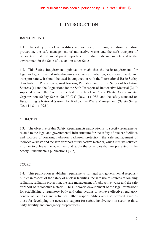## **1. INTRODUCTION**

## BACKGROUND

1.1. The safety of nuclear facilities and sources of ionizing radiation, radiation protection, the safe management of radioactive waste and the safe transport of radioactive material are of great importance to individuals and society and to the environment in the State of use and in other States.

1.2. This Safety Requirements publication establishes the basic requirements for legal and governmental infrastructures for nuclear, radiation, radioactive waste and transport safety. It should be used in conjunction with the International Basic Safety Standards for Protection against Ionizing Radiation and for the Safety of Radiation Sources [1] and the Regulations for the Safe Transport of Radioactive Material [2]. It supersedes both the Code on the Safety of Nuclear Power Plants: Governmental Organization (Safety Series No. 50-C-G (Rev. 1) (1988) and the safety standard on Establishing a National System for Radioactive Waste Management (Safety Series No. 111-S-1 (1995)).

## OBJECTIVE

1.3. The objective of this Safety Requirements publication is to specify requirements related to the legal and governmental infrastructure for the safety of nuclear facilities and sources of ionizing radiation, radiation protection, the safe management of radioactive waste and the safe transport of radioactive material, which must be satisfied in order to achieve the objectives and apply the principles that are presented in the Safety Fundamentals publications [3–5].

#### **SCOPE**

1.4. This publication establishes requirements for legal and governmental responsibilities in respect of the safety of nuclear facilities, the safe use of sources of ionizing radiation, radiation protection, the safe management of radioactive waste and the safe transport of radioactive material. Thus, it covers development of the legal framework for establishing a regulatory body and other actions to achieve effective regulatory control of facilities and activities. Other responsibilities are also covered, such as those for developing the necessary support for safety, involvement in securing third party liability and emergency preparedness.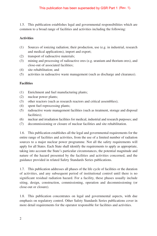1.5. This publication establishes legal and governmental responsibilities which are common to a broad range of facilities and activities including the following:

## **Activities**

- (1) Sources of ionizing radiation; their production, use (e.g. in industrial, research and medical applications), import and export;
- (2) transport of radioactive materials;
- (3) mining and processing of radioactive ores (e.g. uranium and thorium ores), and close-out of associated facilities;
- (4) site rehabilitation; and
- (5) activities in radioactive waste management (such as discharge and clearance).

## **Facilities**

- (1) Enrichment and fuel manufacturing plants;
- (2) nuclear power plants;
- (3) other reactors (such as research reactors and critical assemblies);
- (4) spent fuel reprocessing plants;
- (5) radioactive waste management facilities (such as treatment, storage and disposal facilities):
- (6) nuclear and irradiation facilities for medical, industrial and research purposes; and
- (7) decommissioning or closure of nuclear facilities and site rehabilitation.

1.6. This publication establishes all the legal and governmental requirements for the entire range of facilities and activities, from the use of a limited number of radiation sources to a major nuclear power programme. Not all the safety requirements will apply for all States. Each State shall identify the requirements to apply as appropriate, taking into account the State's particular circumstances, the potential magnitude and nature of the hazard presented by the facilities and activities concerned, and the guidance provided in related Safety Standards Series publications.

1.7. This publication addresses all phases of the life cycle of facilities or the duration of activities, and any subsequent period of institutional control until there is no significant residual radiation hazard. For a facility, these phases usually include siting, design, construction, commissioning, operation and decommissioning (or close-out or closure).

1.8. This publication concentrates on legal and governmental aspects, with due emphasis on regulatory control. Other Safety Standards Series publications cover in more detail requirements for the operator responsible for facilities and activities.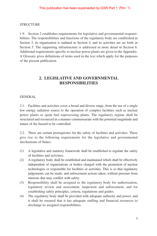## **STRUCTURE**

1.9. Section 2 establishes requirements for legislative and governmental responsibilities. The responsibilities and functions of the regulatory body are established in Section 3, its organization is outlined in Section 4, and its activities are set forth in Section 5. The supporting infrastructure is addressed in more detail in Section 6. Additional requirements specific to nuclear power plants are given in the Appendix. A Glossary gives definitions of terms used in the text which apply for the purposes of the present publication.

## **2. LEGISLATIVE AND GOVERNMENTAL RESPONSIBILITIES**

**GENERAL** 

2.1. Facilities and activities cover a broad and diverse range, from the use of a single low energy radiation source to the operation of complex facilities such as nuclear power plants or spent fuel reprocessing plants. The regulatory regime shall be structured and resourced in a manner commensurate with the potential magnitude and nature of the hazard to be controlled.

2.2. There are certain prerequisites for the safety of facilities and activities. These give rise to the following requirements for the legislative and governmental mechanisms of States:

- (1) A legislative and statutory framework shall be established to regulate the safety of facilities and activities.
- (2) A regulatory body shall be established and maintained which shall be effectively independent of organizations or bodies charged with the promotion of nuclear technologies or responsible for facilities or activities. This is so that regulatory judgements can be made, and enforcement actions taken, without pressure from interests that may conflict with safety.
- (3) Responsibility shall be assigned to the regulatory body for authorization, regulatory review and assessment, inspection and enforcement, and for establishing safety principles, criteria, regulations and guides.
- (4) The regulatory body shall be provided with adequate authority and power, and it shall be ensured that it has adequate staffing and financial resources to discharge its assigned responsibilities.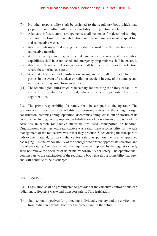- (5) No other responsibility shall be assigned to the regulatory body which may jeopardize, or conflict with, its responsibility for regulating safety.
- (6) Adequate infrastructural arrangements shall be made for decommissioning, close-out or closure, site rehabilitation, and the safe management of spent fuel and radioactive waste.
- (7) Adequate infrastructural arrangements shall be made for the safe transport of radioactive material.
- (8) An effective system of governmental emergency response and intervention capabilities shall be established and emergency preparedness shall be ensured.
- (9) Adequate infrastructural arrangements shall be made for physical protection, where these influence safety.
- (10) Adequate financial indemnification arrangements shall be made for third parties in the event of a nuclear or radiation accident in view of the damage and injury which may arise from an accident.
- (11) The technological infrastructure necessary for ensuring the safety of facilities and activities shall be provided, where this is not provided by other organizations.

2.3. The prime responsibility for safety shall be assigned to the operator. The operator shall have the responsibility for ensuring safety in the siting, design, construction, commissioning, operation, decommissioning, close-out or closure of its facilities, including, as appropriate, rehabilitation of contaminated areas; and for activities in which radioactive materials are used, transported or handled. Organizations which generate radioactive waste shall have responsibility for the safe management of the radioactive waste that they produce. Since during the transport of radioactive material, primary reliance for safety is put on the use of approved packaging, it is the responsibility of the consignor to ensure appropriate selection and use of packaging. Compliance with the requirements imposed by the regulatory body shall not relieve the operator of its prime responsibility for safety. The operator shall demonstrate to the satisfaction of the regulatory body that this responsibility has been and will continue to be discharged.

#### LEGISLATIVE

2.4. Legislation shall be promulgated to provide for the effective control of nuclear, radiation, radioactive waste and transport safety. This legislation:

(1) shall set out objectives for protecting individuals, society and the environment from radiation hazards, both for the present and in the future;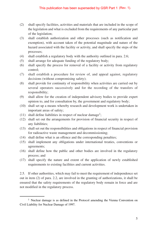- (2) shall specify facilities, activities and materials that are included in the scope of the legislation and what is excluded from the requirements of any particular part of the legislation;
- (3) shall establish authorization and other processes (such as notification and exemption), with account taken of the potential magnitude and nature of the hazard associated with the facility or activity, and shall specify the steps of the processes;
- (4) shall establish a regulatory body with the authority outlined in para. 2.6;
- (5) shall arrange for adequate funding of the regulatory body;
- (6) shall specify the process for removal of a facility or activity from regulatory control;
- (7) shall establish a procedure for review of, and appeal against, regulatory decisions (without compromising safety);
- (8) shall provide for continuity of responsibility when activities are carried out by several operators successively and for the recording of the transfers of responsibility;
- (9) shall allow for the creation of independent advisory bodies to provide expert opinion to, and for consultation by, the government and regulatory body;
- (10) shall set up a means whereby research and development work is undertaken in important areas of safety;
- (11) shall define liabilities in respect of nuclear damage<sup>1</sup>;
- (12) shall set out the arrangements for provision of financial security in respect of any liabilities;
- (13) shall set out the responsibilities and obligations in respect of financial provision for radioactive waste management and decommissioning;
- (14) shall define what is an offence and the corresponding penalties;
- (15) shall implement any obligations under international treaties, conventions or agreements;
- (16) shall define how the public and other bodies are involved in the regulatory process; and
- (17) shall specify the nature and extent of the application of newly established requirements to existing facilities and current activities.

2.5. If other authorities, which may fail to meet the requirement of independence set out in item (2) of para. 2.2, are involved in the granting of authorizations, it shall be ensured that the safety requirements of the regulatory body remain in force and are not modified in the regulatory process.

<sup>&</sup>lt;sup>1</sup> Nuclear damage is as defined in the Protocol amending the Vienna Convention on Civil Liability for Nuclear Damage of 1997.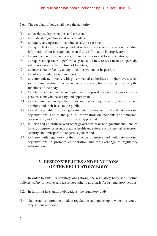- 2.6. The regulatory body shall have the authority:
- (1) to develop safety principles and criteria;
- (2) to establish regulations and issue guidance;
- (3) to require any operator to conduct a safety assessment;
- (4) to require that any operator provide it with any necessary information, including information from its suppliers, even if this information is proprietary;
- (5) to issue, amend, suspend or revoke authorizations and to set conditions;
- (6) to require an operator to perform a systematic safety reassessment or a periodic safety review over the lifetime of facilities;
- (7) to enter a site or facility at any time to carry out an inspection;
- (8) to enforce regulatory requirements;
- (9) to communicate directly with governmental authorities at higher levels when such communication is considered to be necessary for exercising effectively the functions of the body;
- (10) to obtain such documents and opinions from private or public organizations or persons as may be necessary and appropriate;
- (11) to communicate independently its regulatory requirements, decisions and opinions and their basis to the public;
- (12) to make available, to other governmental bodies, national and international organizations, and to the public, information on incidents and abnormal occurrences, and other information, as appropriate;
- (13) to liaise and co-ordinate with other governmental or non-governmental bodies having competence in such areas as health and safety, environmental protection, security, and transport of dangerous goods; and
- (14) to liaise with regulatory bodies of other countries and with international organizations to promote co-operation and the exchange of regulatory information.

## **3. RESPONSIBILITIES AND FUNCTIONS OF THE REGULATORY BODY**

3.1. In order to fulfil its statutory obligations, the regulatory body shall define policies, safety principles and associated criteria as a basis for its regulatory actions.

- 3.2. In fulfilling its statutory obligations, the regulatory body:
- (1) shall establish, promote or adopt regulations and guides upon which its regulatory actions are based;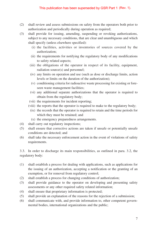- (2) shall review and assess submissions on safety from the operators both prior to authorization and periodically during operation as required;
- (3) shall provide for issuing, amending, suspending or revoking authorizations, subject to any necessary conditions, that are clear and unambiguous and which shall specify (unless elsewhere specified):
	- (i) the facilities, activities or inventories of sources covered by the authorization;
	- (ii) the requirements for notifying the regulatory body of any modifications to safety related aspects;
	- (iii) the obligations of the operator in respect of its facility, equipment, radiation source(s) and personnel;
	- (iv) any limits on operation and use (such as dose or discharge limits, action levels or limits on the duration of the authorization);
	- (v) conditioning criteria for radioactive waste processing for existing or foreseen waste management facilities;
	- (vi) any additional separate authorizations that the operator is required to obtain from the regulatory body;
	- (vii) the requirements for incident reporting;
	- (viii) the reports that the operator is required to make to the regulatory body;
	- (ix) the records that the operator is required to retain and the time periods for which they must be retained; and
	- (x) the emergency preparedness arrangements.
- (4) shall carry out regulatory inspections;
- (5) shall ensure that corrective actions are taken if unsafe or potentially unsafe conditions are detected; and
- (6) shall take the necessary enforcement action in the event of violations of safety requirements.

3.3. In order to discharge its main responsibilities, as outlined in para. 3.2, the regulatory body:

- (1) shall establish a process for dealing with applications, such as applications for the issuing of an authorization, accepting a notification or the granting of an exemption, or for removal from regulatory control;
- (2) shall establish a process for changing conditions of authorization;
- (3) shall provide guidance to the operator on developing and presenting safety assessments or any other required safety related information;
- (4) shall ensure that proprietary information is protected;
- (5) shall provide an explanation of the reasons for the rejection of a submission;
- (6) shall communicate with, and provide information to, other competent governmental bodies, international organizations and the public;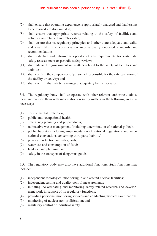- (7) shall ensure that operating experience is appropriately analysed and that lessons to be learned are disseminated;
- (8) shall ensure that appropriate records relating to the safety of facilities and activities are retained and retrievable;
- (9) shall ensure that its regulatory principles and criteria are adequate and valid, and shall take into consideration internationally endorsed standards and recommendations;
- (10) shall establish and inform the operator of any requirements for systematic safety reassessment or periodic safety review;
- (11) shall advise the government on matters related to the safety of facilities and activities;
- (12) shall confirm the competence of personnel responsible for the safe operation of the facility or activity; and
- (13) shall confirm that safety is managed adequately by the operator.

3.4. The regulatory body shall co-operate with other relevant authorities, advise them and provide them with information on safety matters in the following areas, as necessary:

- (1) environmental protection;
- (2) public and occupational health;
- (3) emergency planning and preparedness;
- (4) radioactive waste management (including determination of national policy);
- (5) public liability (including implementation of national regulations and international conventions concerning third party liability);
- (6) physical protection and safeguards;
- (7) water use and consumption of food;
- (8) land use and planning; and
- (9) safety in the transport of dangerous goods.

3.5. The regulatory body may also have additional functions. Such functions may include:

- (1) independent radiological monitoring in and around nuclear facilities;
- (2) independent testing and quality control measurements;
- (3) initiating, co-ordinating and monitoring safety related research and development work in support of its regulatory functions;
- (4) providing personnel monitoring services and conducting medical examinations;
- (5) monitoring of nuclear non-proliferation; and
- (6) regulatory control of industrial safety.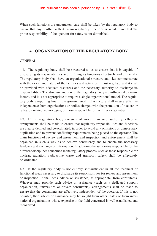When such functions are undertaken, care shall be taken by the regulatory body to ensure that any conflict with its main regulatory functions is avoided and that the prime responsibility of the operator for safety is not diminished.

## **4. ORGANIZATION OF THE REGULATORY BODY**

## GENERAL

4.1. The regulatory body shall be structured so as to ensure that it is capable of discharging its responsibilities and fulfilling its functions effectively and efficiently. The regulatory body shall have an organizational structure and size commensurate with the extent and nature of the facilities and activities it must regulate, and it shall be provided with adequate resources and the necessary authority to discharge its responsibilities. The structure and size of the regulatory body are influenced by many factors, and it is not appropriate to require a single organizational model. The regulatory body's reporting line in the governmental infrastructure shall ensure effective independence from organizations or bodies charged with the promotion of nuclear or radiation related technologies, or those responsible for facilities or activities.

4.2. If the regulatory body consists of more than one authority, effective arrangements shall be made to ensure that regulatory responsibilities and functions are clearly defined and co-ordinated, in order to avoid any omissions or unnecessary duplication and to prevent conflicting requirements being placed on the operator. The main functions of review and assessment and inspection and enforcement shall be organized in such a way as to achieve consistency and to enable the necessary feedback and exchange of information. In addition, the authorities responsible for the different disciplines concerned in the regulatory process, such as those responsible for nuclear, radiation, radioactive waste and transport safety, shall be effectively co-ordinated.

4.3. If the regulatory body is not entirely self-sufficient in all the technical or functional areas necessary to discharge its responsibilities for review and assessment or inspection, it shall seek advice or assistance, as appropriate, from consultants. Whoever may provide such advice or assistance (such as a dedicated support organization, universities or private consultants), arrangements shall be made to ensure that the consultants are effectively independent of the operator. If this is not possible, then advice or assistance may be sought from other States or from international organizations whose expertise in the field concerned is well established and recognized.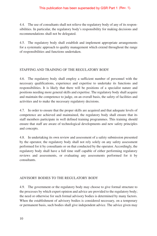4.4. The use of consultants shall not relieve the regulatory body of any of its responsibilities. In particular, the regulatory body's responsibility for making decisions and recommendations shall not be delegated.

4.5. The regulatory body shall establish and implement appropriate arrangements for a systematic approach to quality management which extend throughout the range of responsibilities and functions undertaken.

## STAFFING AND TRAINING OF THE REGULATORY BODY

4.6. The regulatory body shall employ a sufficient number of personnel with the necessary qualifications, experience and expertise to undertake its functions and responsibilities. It is likely that there will be positions of a specialist nature and positions needing more general skills and expertise. The regulatory body shall acquire and maintain the competence to judge, on an overall basis, the safety of facilities and activities and to make the necessary regulatory decisions.

4.7. In order to ensure that the proper skills are acquired and that adequate levels of competence are achieved and maintained, the regulatory body shall ensure that its staff members participate in well defined training programmes. This training should ensure that staff are aware of technological developments and new safety principles and concepts.

4.8. In undertaking its own review and assessment of a safety submission presented by the operator, the regulatory body shall not rely solely on any safety assessment performed for it by consultants or on that conducted by the operator. Accordingly, the regulatory body shall have a full time staff capable of either performing regulatory reviews and assessments, or evaluating any assessments performed for it by consultants.

## ADVISORY BODIES TO THE REGULATORY BODY

4.9. The government or the regulatory body may choose to give formal structure to the processes by which expert opinion and advice are provided to the regulatory body; the need or otherwise for such formal advisory bodies is determined by many factors. When the establishment of advisory bodies is considered necessary, on a temporary or permanent basis, such bodies shall give independent advice. The advice given may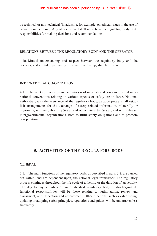be technical or non-technical (in advising, for example, on ethical issues in the use of radiation in medicine). Any advice offered shall not relieve the regulatory body of its responsibilities for making decisions and recommendations.

## RELATIONS BETWEEN THE REGULATORY BODY AND THE OPERATOR

4.10. Mutual understanding and respect between the regulatory body and the operator, and a frank, open and yet formal relationship, shall be fostered.

## INTERNATIONAL CO-OPERATION

4.11. The safety of facilities and activities is of international concern. Several international conventions relating to various aspects of safety are in force. National authorities, with the assistance of the regulatory body, as appropriate, shall establish arrangements for the exchange of safety related information, bilaterally or regionally, with neighbouring States and other interested States, and with relevant intergovernmental organizations, both to fulfil safety obligations and to promote co-operation.

## **5. ACTIVITIES OF THE REGULATORY BODY**

#### GENERAL

5.1. The main functions of the regulatory body, as described in para. 3.2, are carried out within, and are dependent upon, the national legal framework. The regulatory process continues throughout the life cycle of a facility or the duration of an activity. The day to day activities of an established regulatory body in discharging its functional responsibilities will be those relating to authorization, review and assessment, and inspection and enforcement. Other functions, such as establishing, updating or adopting safety principles, regulations and guides, will be undertaken less frequently.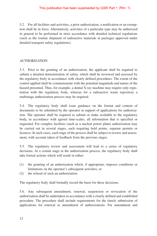5.2. For all facilities and activities, a prior authorization, a notification or an exemption shall be in force. Alternatively, activities of a particular type may be authorized in general to be performed in strict accordance with detailed technical regulations (such as the routine shipment of radioactive materials in packages approved under detailed transport safety regulations).

## AUTHORIZATION

5.3. Prior to the granting of an authorization, the applicant shall be required to submit a detailed demonstration of safety, which shall be reviewed and assessed by the regulatory body in accordance with clearly defined procedures. The extent of the control applied shall be commensurate with the potential magnitude and nature of the hazard presented. Thus, for example, a dental X ray machine may require only registration with the regulatory body, whereas for a radioactive waste repository a multistage authorization process may be required.

5.4. The regulatory body shall issue guidance on the format and content of documents to be submitted by the operator in support of applications for authorization. The operator shall be required to submit or make available to the regulatory body, in accordance with agreed time-scales, all information that is specified or requested. For complex facilities (such as a nuclear power plant) authorization may be carried out in several stages, each requiring hold points, separate permits or licences. In such cases, each stage of the process shall be subject to review and assessment, with account taken of feedback from the previous stages.

5.5. The regulatory review and assessment will lead to a series of regulatory decisions. At a certain stage in the authorization process, the regulatory body shall take formal actions which will result in either:

- (1) the granting of an authorization which, if appropriate, imposes conditions or limitations on the operator's subsequent activities; or
- (2) the refusal of such an authorization.

The regulatory body shall formally record the basis for these decisions.

5.6. Any subsequent amendment, renewal, suspension or revocation of the authorization shall be undertaken in accordance with a clearly defined and established procedure. The procedure shall include requirements for the timely submission of applications for renewal or amendment of authorizations. For amendment and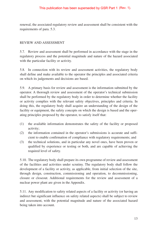renewal, the associated regulatory review and assessment shall be consistent with the requirements of para. 5.3.

## REVIEW AND ASSESSMENT

5.7. Review and assessment shall be performed in accordance with the stage in the regulatory process and the potential magnitude and nature of the hazard associated with the particular facility or activity.

5.8. In connection with its review and assessment activities, the regulatory body shall define and make available to the operator the principles and associated criteria on which its judgements and decisions are based.

5.9. A primary basis for review and assessment is the information submitted by the operator. A thorough review and assessment of the operator's technical submission shall be performed by the regulatory body in order to determine whether the facility or activity complies with the relevant safety objectives, principles and criteria. In doing this, the regulatory body shall acquire an understanding of the design of the facility or equipment, the safety concepts on which the design is based and the operating principles proposed by the operator, to satisfy itself that:

- (1) the available information demonstrates the safety of the facility or proposed activity;
- (2) the information contained in the operator's submissions is accurate and sufficient to enable confirmation of compliance with regulatory requirements; and
- (3) the technical solutions, and in particular any novel ones, have been proven or qualified by experience or testing or both, and are capable of achieving the required level of safety.

5.10. The regulatory body shall prepare its own programme of review and assessment of the facilities and activities under scrutiny. The regulatory body shall follow the development of a facility or activity, as applicable, from initial selection of the site, through design, construction, commissioning and operation, to decommissioning, closure or closeout. Additional requirements for the review and assessment of a nuclear power plant are given in the Appendix.

5.11. Any modification to safety related aspects of a facility or activity (or having an indirect but significant influence on safety related aspects) shall be subject to review and assessment, with the potential magnitude and nature of the associated hazard being taken into account.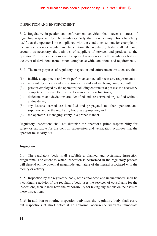## INSPECTION AND ENFORCEMENT

5.12. Regulatory inspection and enforcement activities shall cover all areas of regulatory responsibility. The regulatory body shall conduct inspections to satisfy itself that the operator is in compliance with the conditions set out, for example, in the authorization or regulations. In addition, the regulatory body shall take into account, as necessary, the activities of suppliers of services and products to the operator. Enforcement actions shall be applied as necessary by the regulatory body in the event of deviations from, or non-compliance with, conditions and requirements.

5.13. The main purposes of regulatory inspection and enforcement are to ensure that:

- (1) facilities, equipment and work performance meet all necessary requirements;
- (2) relevant documents and instructions are valid and are being complied with;
- (3) persons employed by the operator (including contractors) possess the necessary competence for the effective performance of their functions;
- (4) deficiencies and deviations are identified and are corrected or justified without undue delay;
- (5) any lessons learned are identified and propagated to other operators and suppliers and to the regulatory body as appropriate; and
- (6) the operator is managing safety in a proper manner.

Regulatory inspections shall not diminish the operator's prime responsibility for safety or substitute for the control, supervision and verification activities that the operator must carry out.

#### **Inspection**

5.14. The regulatory body shall establish a planned and systematic inspection programme. The extent to which inspection is performed in the regulatory process will depend on the potential magnitude and nature of the hazard associated with the facility or activity.

5.15. Inspection by the regulatory body, both announced and unannounced, shall be a continuing activity. If the regulatory body uses the services of consultants for the inspections, then it shall have the responsibility for taking any actions on the basis of these inspections.

5.16. In addition to routine inspection activities, the regulatory body shall carry out inspections at short notice if an abnormal occurrence warrants immediate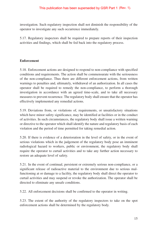investigation. Such regulatory inspection shall not diminish the responsibility of the operator to investigate any such occurrence immediately.

5.17. Regulatory inspectors shall be required to prepare reports of their inspection activities and findings, which shall be fed back into the regulatory process.

## **Enforcement**

5.18. Enforcement actions are designed to respond to non-compliance with specified conditions and requirements. The action shall be commensurate with the seriousness of the non-compliance. Thus there are different enforcement actions, from written warnings to penalties and, ultimately, withdrawal of an authorization. In all cases the operator shall be required to remedy the non-compliance, to perform a thorough investigation in accordance with an agreed time-scale, and to take all necessary measures to prevent recurrence. The regulatory body shall ensure that the operator has effectively implemented any remedial actions.

5.19. Deviations from, or violations of, requirements, or unsatisfactory situations which have minor safety significance, may be identified at facilities or in the conduct of activities. In such circumstances, the regulatory body shall issue a written warning or directive to the operator which shall identify the nature and regulatory basis of each violation and the period of time permitted for taking remedial action.

5.20. If there is evidence of a deterioration in the level of safety, or in the event of serious violations which in the judgement of the regulatory body pose an imminent radiological hazard to workers, public or environment, the regulatory body shall require the operator to curtail activities and to take any further action necessary to restore an adequate level of safety.

5.21. In the event of continual, persistent or extremely serious non-compliance, or a significant release of radioactive material to the environment due to serious malfunctioning at or damage to a facility, the regulatory body shall direct the operator to curtail activities and may suspend or revoke the authorization. The operator shall be directed to eliminate any unsafe conditions.

5.22. All enforcement decisions shall be confirmed to the operator in writing.

5.23. The extent of the authority of the regulatory inspectors to take on the spot enforcement actions shall be determined by the regulatory body.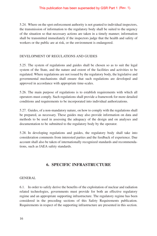5.24. Where on the spot enforcement authority is not granted to individual inspectors, the transmission of information to the regulatory body shall be suited to the urgency of the situation so that necessary actions are taken in a timely manner; information shall be transmitted immediately if the inspectors judge that the health and safety of workers or the public are at risk, or the environment is endangered.

## DEVELOPMENT OF REGULATIONS AND GUIDES

5.25. The system of regulations and guides shall be chosen so as to suit the legal system of the State, and the nature and extent of the facilities and activities to be regulated. Where regulations are not issued by the regulatory body, the legislative and governmental mechanisms shall ensure that such regulations are developed and approved in accordance with appropriate time-scales.

5.26. The main purpose of regulations is to establish requirements with which all operators must comply. Such regulations shall provide a framework for more detailed conditions and requirements to be incorporated into individual authorizations.

5.27. Guides, of a non-mandatory nature, on how to comply with the regulations shall be prepared, as necessary. These guides may also provide information on data and methods to be used in assessing the adequacy of the design and on analyses and documentation to be submitted to the regulatory body by the operator.

5.28. In developing regulations and guides, the regulatory body shall take into consideration comments from interested parties and the feedback of experience. Due account shall also be taken of internationally recognized standards and recommendations, such as IAEA safety standards.

## **6. SPECIFIC INFRASTRUCTURE**

## **GENERAL**

6.1. In order to safely derive the benefits of the exploitation of nuclear and radiation related technologies, governments must provide for both an effective regulatory regime and an appropriate supporting infrastructure. The regulatory regime has been considered in the preceding sections of this Safety Requirements publication. Requirements in respect of the supporting infrastructure are presented in this section.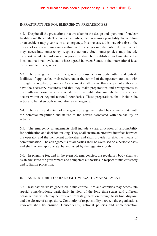## INFRASTRUCTURE FOR EMERGENCY PREPAREDNESS

6.2. Despite all the precautions that are taken in the design and operation of nuclear facilities and the conduct of nuclear activities, there remains a possibility that a failure or an accident may give rise to an emergency. In some cases, this may give rise to the release of radioactive materials within facilities and/or into the public domain, which may necessitate emergency response actions. Such emergencies may include transport accidents. Adequate preparations shall be established and maintained at local and national levels and, where agreed between States, at the international level to respond to emergencies.

6.3. The arrangements for emergency response actions both within and outside facilities, if applicable, or elsewhere under the control of the operator, are dealt with through the regulatory process. Government shall ensure that competent authorities have the necessary resources and that they make preparations and arrangements to deal with any consequences of accidents in the public domain, whether the accident occurs within or beyond national boundaries. These preparations shall include the actions to be taken both in and after an emergency.

6.4. The nature and extent of emergency arrangements shall be commensurate with the potential magnitude and nature of the hazard associated with the facility or activity.

6.5. The emergency arrangements shall include a clear allocation of responsibility for notification and decision making. They shall ensure an effective interface between the operator and the competent authorities and shall provide for effective means of communication. The arrangements of all parties shall be exercised on a periodic basis and shall, where appropriate, be witnessed by the regulatory body.

6.6. In planning for, and in the event of, emergencies, the regulatory body shall act as an adviser to the government and competent authorities in respect of nuclear safety and radiation protection.

#### INFRASTRUCTURE FOR RADIOACTIVE WASTE MANAGEMENT

6.7. Radioactive waste generated in nuclear facilities and activities may necessitate special considerations, particularly in view of the long time-scales and different organizations which may be involved from its generation through to its final disposal and the closure of a repository. Continuity of responsibility between the organizations involved shall be ensured. Consequently, national policies and implementation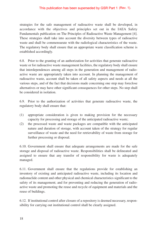strategies for the safe management of radioactive waste shall be developed, in accordance with the objectives and principles set out in the IAEA Safety Fundamentals publication on The Principles of Radioactive Waste Management [4]. These strategies shall take into account the diversity between types of radioactive waste and shall be commensurate with the radiological characteristics of the waste. The regulatory body shall ensure that an appropriate waste classification scheme is established accordingly.

6.8. Prior to the granting of an authorization for activities that generate radioactive waste or for radioactive waste management facilities, the regulatory body shall ensure that interdependences among all steps in the generation and management of radioactive waste are appropriately taken into account. In planning the management of radioactive waste, account shall be taken of all safety aspects and needs at all the various steps, and of the fact that decisions made concerning one step may foreclose alternatives or may have other significant consequences for other steps. No step shall be considered in isolation.

6.9. Prior to the authorization of activities that generate radioactive waste, the regulatory body shall ensure that:

- (1) appropriate consideration is given to making provision for the necessary capacity for processing and storage of the anticipated radioactive waste;
- (2) the processed waste and waste packages are compatible with the anticipated nature and duration of storage, with account taken of the strategy for regular surveillance of waste and the need for retrievability of waste from storage for further processing or disposal.

6.10. Government shall ensure that adequate arrangements are made for the safe storage and disposal of radioactive waste. Responsibilities shall be delineated and assigned to ensure that any transfer of responsibility for waste is adequately managed.

6.11. Government shall ensure that the regulations provide for establishing an inventory of existing and anticipated radioactive waste, including its location and radionuclide content and other physical and chemical characteristics significant to the safety of its management; and for preventing and reducing the generation of radioactive waste and promoting the reuse and recycle of equipment and materials and the reuse of buildings.

6.12. If institutional control after closure of a repository is deemed necessary, responsibility for carrying out institutional control shall be clearly assigned.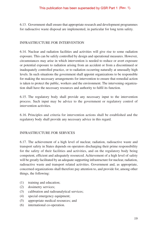6.13. Government shall ensure that appropriate research and development programmes for radioactive waste disposal are implemented, in particular for long term safety.

## INFRASTRUCTURE FOR INTERVENTION

6.14. Nuclear and radiation facilities and activities will give rise to some radiation exposure. This can be safely controlled by design and operational measures. However, circumstances may arise in which intervention is needed to reduce or avert exposure or potential exposure to radiation arising from an accident or from a discontinued or inadequately controlled practice, or to radiation occurring naturally at unusually high levels. In such situations the government shall appoint organizations to be responsible for making the necessary arrangements for intervention to ensure that remedial action is taken to protect the public, workers and the environment. The intervening organization shall have the necessary resources and authority to fulfil its function.

6.15. The regulatory body shall provide any necessary input to the intervention process. Such input may be advice to the government or regulatory control of intervention activities.

6.16. Principles and criteria for intervention actions shall be established and the regulatory body shall provide any necessary advice in this regard.

#### INFRASTRUCTURE FOR SERVICES

6.17. The achievement of a high level of nuclear, radiation, radioactive waste and transport safety in States depends on operators discharging their prime responsibility for the safety of their facilities and activities, and on the regulatory body being competent, efficient and adequately resourced. Achievement of a high level of safety will be greatly facilitated by an adequate supporting infrastructure for nuclear, radiation, radioactive waste and transport related activities. Government and, as appropriate, concerned organizations shall therefore pay attention to, and provide for, among other things, the following:

- (1) training and education;
- (2) dosimetry services;
- (3) calibration and radioanalytical services;
- (4) special emergency equipment;
- (5) appropriate medical resources; and
- (6) international co-operation.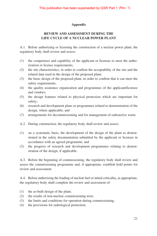## **Appendix**

## **REVIEW AND ASSESSMENT DURING THE LIFE CYCLE OF A NUCLEAR POWER PLANT**

A.1. Before authorizing or licensing the construction of a nuclear power plant, the regulatory body shall review and assess:

- (1) the competence and capability of the applicant or licensee to meet the authorization or licence requirements;
- (2) the site characteristics, in order to confirm the acceptability of the site and the related data used in the design of the proposed plant;
- (3) the basic design of the proposed plant, in order to confirm that it can meet the safety requirements;
- (4) the quality assurance organization and programmes of the applicant/licensee and vendors;
- (5) the design features related to physical protection which are important for safety;
- (6) research and development plans or programmes related to demonstration of the design, where applicable; and
- (7) arrangements for decommissioning and for management of radioactive waste.
- A.2. During construction, the regulatory body shall review and assess:
- (1) on a systematic basis, the development of the design of the plant as demonstrated in the safety documentation submitted by the applicant or licensee in accordance with an agreed programme; and
- (2) the progress of research and development programmes relating to demonstration of the design, if applicable.

A.3. Before the beginning of commissioning, the regulatory body shall review and assess the commissioning programme and, if appropriate, establish hold points for review and assessment.

A.4. Before authorizing the loading of nuclear fuel or initial criticality, as appropriate, the regulatory body shall complete the review and assessment of:

- (1) the as-built design of the plant;
- (2) the results of non-nuclear commissioning tests;
- (3) the limits and conditions for operation during commissioning;
- (4) the provisions for radiological protection;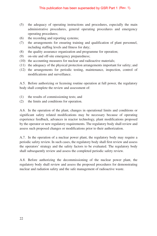- (5) the adequacy of operating instructions and procedures, especially the main administrative procedures, general operating procedures and emergency operating procedures;
- (6) the recording and reporting systems;
- (7) the arrangements for ensuring training and qualification of plant personnel, including staffing levels and fitness for duty;
- (8) the quality assurance organization and programme for operation;
- (9) on-site and off-site emergency preparedness;
- (10) the accounting measures for nuclear and radioactive materials;
- (11) the adequacy of the physical protection arrangements important for safety; and
- (12) the arrangements for periodic testing, maintenance, inspection, control of modifications and surveillance.

A.5. Before authorizing or licensing routine operation at full power, the regulatory body shall complete the review and assessment of:

- (1) the results of commissioning tests; and
- (2) the limits and conditions for operation.

A.6. In the operation of the plant, changes in operational limits and conditions or significant safety related modifications may be necessary because of operating experience feedback, advances in reactor technology, plant modifications proposed by the operator or new regulatory requirements. The regulatory body shall review and assess such proposed changes or modifications prior to their authorization.

A.7. In the operation of a nuclear power plant, the regulatory body may require a periodic safety review. In such cases, the regulatory body shall first review and assess the operators' strategy and the safety factors to be evaluated. The regulatory body shall subsequently review and assess the completed periodic safety review.

A.8. Before authorizing the decommissioning of the nuclear power plant, the regulatory body shall review and assess the proposed procedures for demonstrating nuclear and radiation safety and the safe management of radioactive waste.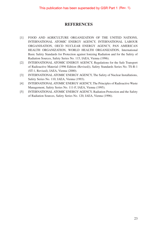## **REFERENCES**

- [1] FOOD AND AGRICULTURE ORGANIZATION OF THE UNITED NATIONS, INTERNATIONAL ATOMIC ENERGY AGENCY, INTERNATIONAL LABOUR ORGANISATION, OECD NUCLEAR ENERGY AGENCY, PAN AMERICAN HEALTH ORGANIZATION, WORLD HEALTH ORGANIZATION, International Basic Safety Standards for Protection against Ionizing Radiation and for the Safety of Radiation Sources, Safety Series No. 115, IAEA, Vienna (1996).
- [2] INTERNATIONAL ATOMIC ENERGY AGENCY, Regulations for the Safe Transport of Radioactive Material (1996 Edition (Revised)), Safety Standards Series No. TS-R-1 (ST-1, Revised), IAEA, Vienna (2000).
- [3] INTERNATIONAL ATOMIC ENERGY AGENCY, The Safety of Nuclear Installations, Safety Series No. 110, IAEA, Vienna (1993).
- [4] INTERNATIONAL ATOMIC ENERGY AGENCY, The Principles of Radioactive Waste Management, Safety Series No. 111-F, IAEA, Vienna (1995).
- [5] INTERNATIONAL ATOMIC ENERGY AGENCY, Radiation Protection and the Safety of Radiation Sources, Safety Series No. 120, IAEA, Vienna (1996).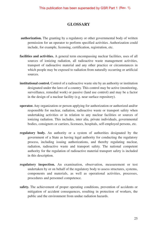## **GLOSSARY**

- **authorization.** The granting by a regulatory or other governmental body of written permission for an operator to perform specified activities. Authorization could include, for example, licensing, certification, registration, etc.
- **facilities and activities.** A general term encompassing nuclear facilities, uses of all sources of ionizing radiation, all radioactive waste management activities, transport of radioactive material and any other practice or circumstances in which people may be exposed to radiation from naturally occurring or artificial sources.
- **institutional control.** Control of a radioactive waste site by an authority or institution designated under the laws of a country. This control may be active (monitoring, surveillance, remedial work) or passive (land use control) and may be a factor in the design of a nuclear facility (e.g. near surface repository).
- **operator.** Any organization or person applying for authorization or authorized and/or responsible for nuclear, radiation, radioactive waste or transport safety when undertaking activities or in relation to any nuclear facilities or sources of ionizing radiation. This includes, inter alia, private individuals, governmental bodies, consignors or carriers, licensees, hospitals, self-employed persons, etc.
- **regulatory body.** An authority or a system of authorities designated by the government of a State as having legal authority for conducting the regulatory process, including issuing authorizations, and thereby regulating nuclear, radiation, radioactive waste and transport safety. The national competent authority for the regulation of radioactive material transport safety is included in this description.
- **regulatory inspection.** An examination, observation, measurement or test undertaken by or on behalf of the regulatory body to assess structures, systems, components and materials, as well as operational activities, processes, procedures and personnel competence.
- **safety.** The achievement of proper operating conditions, prevention of accidents or mitigation of accident consequences, resulting in protection of workers, the public and the environment from undue radiation hazards.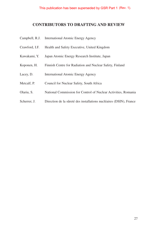## **CONTRIBUTORS TO DRAFTING AND REVIEW**

- Campbell, R.J. International Atomic Energy Agency
- Crawford, I.F. Health and Safety Executive, United Kingdom
- Kawakami, Y. Japan Atomic Energy Research Institute, Japan
- Koponen, H. Finnish Centre for Radiation and Nuclear Safety, Finland
- Lacey, D. International Atomic Energy Agency
- Metcalf, P. Council for Nuclear Safety, South Africa
- Olariu, S. National Commission for Control of Nuclear Activities, Romania
- Scherrer, J. Direction de la sûreté des installations nucléaires (DSIN), France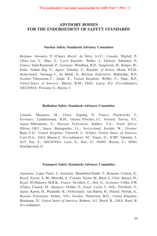## **ADVISORY BODIES FOR THE ENDORSEMENT OF SAFETY STANDARDS**

#### **Nuclear Safety Standards Advisory Committee**

*Belgium:* Govaerts, P. (Chair); *Brazil:* da Silva, A.J.C.; *Canada:* Wigfull, P.; *China:* Lei, Y.; Zhao, Y.; *Czech Republic:* Štuller, J.; *Finland:* Salminen, P.; *France:* Saint Raymond, P.; *Germany:* Wendling, R.D., Sengewein, H., Krüger, W.; *India:* Venkat Raj, V.; *Japan:* Tobioka, T.; *Republic of Korea:* Moon, P.S.H.; *Netherlands:* Versteeg, J., de Munk, P.; *Russian Federation:* Baklushin, R.P.; *Sweden:* Viktorsson, C., Jende, E.; *United Kingdom:* Willby, C., Pape, R.P.; *United States of America:* Morris, B.M.; *IAEA:* Lacey, D.J. (Co-ordinator); *OECD/NEA:* Frescura, G., Royen, J.

#### **Radiation Safety Standards Advisory Committee**

*Canada:* Measures, M.; *China:* Ziqiang, P.; *France:* Pieckowski, J.; *Germany:* Landfermann, H.H.; *Ghana:* Fletcher, J.J.; *Ireland:* Turvey, F.J.; *Japan:* Matsumoto, Y.; *Russian Federation:* Kutkov, V.A.; *South Africa:* Olivier, J.H.I.; *Spain:* Butragueño, J.L.; *Switzerland:* Jeschki, W.; *Ukraine:* Rudy, C.G.; *United Kingdom:* Creswell, L. (Chair); *United States of America:* Cool, D.A.; *IAEA:* Mason, C. (Co-ordinator); *EC*: Fraser, G.; *ICRP:* Valentin, J., *ILO:* Niu, S.; *OECD/NEA:* Lazo, E., Ilari, O.; *PAHO:* Borrás, C.; *WHO:* Souchkevitch, G.

#### **Transport Safety Standards Advisory Committee**

*Argentina:* Lopez Vietri, J.; *Australia:* Mountford-Smith, T.; *Belgium:* Cottens, E.; *Brazil:* Xavier, A.-M.; Mezrahi, A.; *Canada:* Taylor, M., Reed, J.; *Chile:* Basaez, H.; *Egypt:* El-Shinawy, M.R.K.; *France:* Devillers, C., Sert, G.; *Germany:* Collin, F.W. (Chair), Cosack, M.; *Hungary:* Golder, F.; *Israel:* Levin, I.; *Italy:* Trivelloni, S.; *Japan:* Kawai, H., Watanabe, K.; *Netherlands:* van Halem, H.; *Poland:* Pawlak, A.; *Russian Federation:* Ershov, V.N.; *Sweden:* Pettersson, B.G.; *United Kingdom:* Blackman, D.; *United States of America:* Roberts, A.I., Boyle, R.; *IAEA:* Rawl, R. (Co-ordinator).